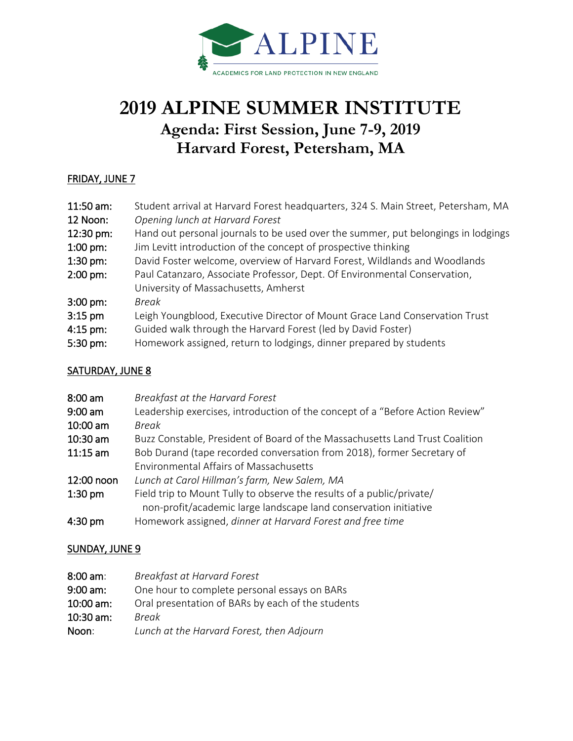

# **2019 ALPINE SUMMER INSTITUTE Agenda: First Session, June 7-9, 2019 Harvard Forest, Petersham, MA**

#### FRIDAY, JUNE 7

| Opening lunch at Harvard Forest<br>12 Noon:                                                    |  |
|------------------------------------------------------------------------------------------------|--|
|                                                                                                |  |
| Hand out personal journals to be used over the summer, put belongings in lodgings<br>12:30 pm: |  |
| Jim Levitt introduction of the concept of prospective thinking<br>$1:00 \text{ pm}$ :          |  |
| David Foster welcome, overview of Harvard Forest, Wildlands and Woodlands<br>$1:30$ pm:        |  |
| Paul Catanzaro, Associate Professor, Dept. Of Environmental Conservation,<br>$2:00$ pm:        |  |
| University of Massachusetts, Amherst                                                           |  |
| $3:00 \text{ pm}$ :<br>Break                                                                   |  |
| Leigh Youngblood, Executive Director of Mount Grace Land Conservation Trust<br>$3:15$ pm       |  |
| Guided walk through the Harvard Forest (led by David Foster)<br>$4:15$ pm:                     |  |
| Homework assigned, return to lodgings, dinner prepared by students<br>5:30 pm:                 |  |

#### SATURDAY, JUNE 8

| $8:00$ am  | Breakfast at the Harvard Forest                                               |
|------------|-------------------------------------------------------------------------------|
| $9:00$ am  | Leadership exercises, introduction of the concept of a "Before Action Review" |
| $10:00$ am | Break                                                                         |
| $10:30$ am | Buzz Constable, President of Board of the Massachusetts Land Trust Coalition  |
| $11:15$ am | Bob Durand (tape recorded conversation from 2018), former Secretary of        |
|            | <b>Environmental Affairs of Massachusetts</b>                                 |
| 12:00 noon | Lunch at Carol Hillman's farm, New Salem, MA                                  |
| $1:30$ pm  | Field trip to Mount Tully to observe the results of a public/private/         |
|            | non-profit/academic large landscape land conservation initiative              |
| $4:30$ pm  | Homework assigned, dinner at Harvard Forest and free time                     |

### SUNDAY, JUNE 9

| $8:00$ am:  | Breakfast at Harvard Forest                       |
|-------------|---------------------------------------------------|
| $9:00$ am:  | One hour to complete personal essays on BARs      |
| $10:00$ am: | Oral presentation of BARs by each of the students |
| $10:30$ am: | Break                                             |
| Noon:       | Lunch at the Harvard Forest, then Adjourn         |